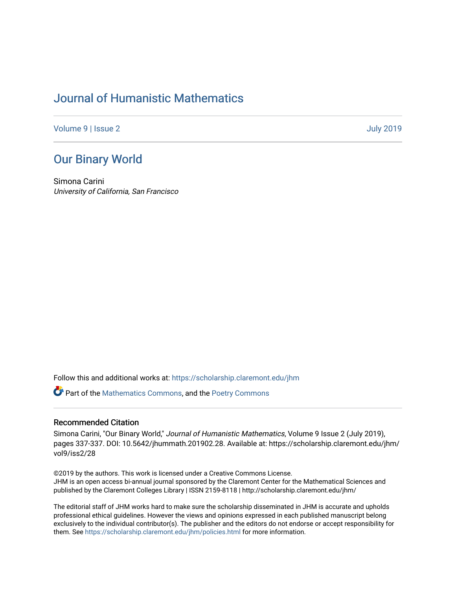## [Journal of Humanistic Mathematics](https://scholarship.claremont.edu/jhm)

[Volume 9](https://scholarship.claremont.edu/jhm/vol9) | [Issue 2](https://scholarship.claremont.edu/jhm/vol9/iss2) [July 2019](https://scholarship.claremont.edu/jhm/vol9/iss2) 

## [Our Binary World](https://scholarship.claremont.edu/jhm/vol9/iss2/28)

Simona Carini University of California, San Francisco

Follow this and additional works at: [https://scholarship.claremont.edu/jhm](https://scholarship.claremont.edu/jhm?utm_source=scholarship.claremont.edu%2Fjhm%2Fvol9%2Fiss2%2F28&utm_medium=PDF&utm_campaign=PDFCoverPages)

Part of the [Mathematics Commons](http://network.bepress.com/hgg/discipline/174?utm_source=scholarship.claremont.edu%2Fjhm%2Fvol9%2Fiss2%2F28&utm_medium=PDF&utm_campaign=PDFCoverPages), and the [Poetry Commons](http://network.bepress.com/hgg/discipline/1153?utm_source=scholarship.claremont.edu%2Fjhm%2Fvol9%2Fiss2%2F28&utm_medium=PDF&utm_campaign=PDFCoverPages) 

## Recommended Citation

Simona Carini, "Our Binary World," Journal of Humanistic Mathematics, Volume 9 Issue 2 (July 2019), pages 337-337. DOI: 10.5642/jhummath.201902.28. Available at: https://scholarship.claremont.edu/jhm/ vol9/iss2/28

©2019 by the authors. This work is licensed under a Creative Commons License. JHM is an open access bi-annual journal sponsored by the Claremont Center for the Mathematical Sciences and published by the Claremont Colleges Library | ISSN 2159-8118 | http://scholarship.claremont.edu/jhm/

The editorial staff of JHM works hard to make sure the scholarship disseminated in JHM is accurate and upholds professional ethical guidelines. However the views and opinions expressed in each published manuscript belong exclusively to the individual contributor(s). The publisher and the editors do not endorse or accept responsibility for them. See<https://scholarship.claremont.edu/jhm/policies.html> for more information.